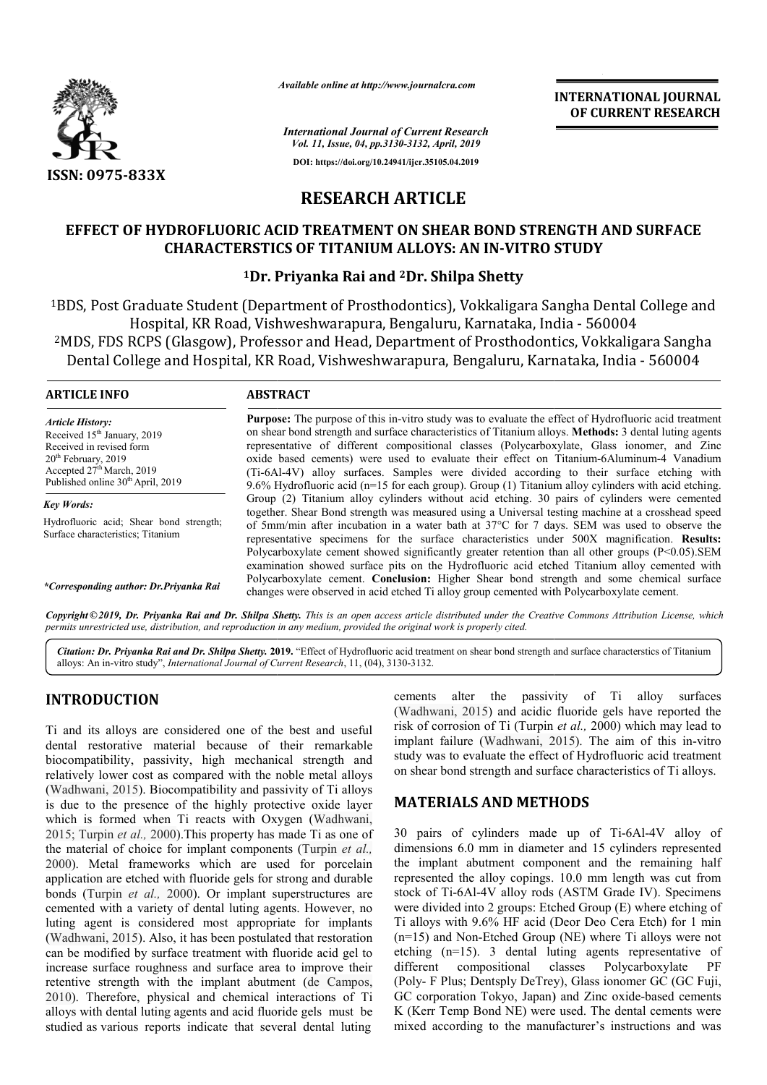

*Available online at http://www.journalcra.com*

*International Journal of Current Research Vol. 11, Issue, 04, pp.3130-3132, April, 2019* **DOI: https://doi.org/10.24941/ijcr.35105.04.2019**

**INTERNATIONAL JOURNAL OF CURRENT RESEARCH**

# **RESEARCH ARTICLE**

## EFFECT OF HYDROFLUORIC ACID TREATMENT ON SHEAR BOND STRENGTH AND SURFACE **CHARACTERSTICS OF TITANIUM ALLOYS: AN IN IN-VITRO STUDY VITRO**

## **1Dr. Priyanka Rai and Dr. 2Dr. Shilpa Shetty**

<sup>1</sup>BDS, Post Graduate Student (Department of Prosthodontics), Vokkaligara Sangha Dental College and<br>Hospital, KR Road, Vishweshwarapura, Bengaluru, Karnataka, India - 560004 iraduate Student (Department of Prosthodontics), Vokkaligara Sangha Dental<br>Hospital, KR Road, Vishweshwarapura, Bengaluru, Karnataka, India - 560004 <sup>2</sup>MDS, FDS RCPS (Glasgow), Professor and Head, Department of Prosthodontics, Vokkaligara Sangha 4DS, FDS RCPS (Glasgow), Professor and Head, Department of Prosthodontics, Vokkaligara Sangl<br>Dental College and Hospital, KR Road, Vishweshwarapura, Bengaluru, Karnataka, India - 560004

### **ARTICLE INFO ABSTRACT**

*Article History:* Received 15<sup>th</sup> January, 2019 Received in revised form 20<sup>th</sup> February, 2019 Accepted 27<sup>th</sup> March, 2019 Published online  $30<sup>th</sup>$  April, 2019

*Key Words:* Hydrofluoric acid; Shear bond strength; Surface characteristics; Titanium

*\*Corresponding author: Dr.Priyanka Rai*

Purpose: The purpose of this in-vitro study was to evaluate the effect of Hydrofluoric acid treatment on shear bond strength and surface characteristics of Titanium alloys. Methods: 3 dental luting agents representative of different compositional classes (Polycarboxylate, Glass ionomer, and Zinc oxide based cements) were used to evaluate their effect on Titanium-6Aluminum-4 Vanadium (Ti-6Al-4V) alloy surfaces. Samples were divided according to their surface etching with 9.6% Hydrofluoric acid (n=15 for each group). Group (1) Titanium alloy cylinders with acid etching. Group (2) Titanium alloy cylinders without acid etching. 30 pairs of cylinders were cemented together. Shear Bond strength was measured using a Universal testing machine at a crosshead speed of 5mm/min after incubation in a water bath at 37 37°C for 7 days. SEM was used to observe the of 5mm/min after incubation in a water bath at 37°C for 7 days. SEM was used to observe the representative specimens for the surface characteristics under 500X magnification. **Results:** Polycarboxylate cement showed significantly greater retention than all other groups (P<0.05).SEM examination showed surface pits on the Hydrofluoric acid etched Titanium alloy cemented with Polycarboxylate cement showed significantly greater retention than all other groups (P<0.05).SEM examination showed surface pits on the Hydrofluoric acid etched Titanium alloy cemented with Polycarboxylate cement. **Conclus** changes were observed in acid etched Ti alloy group cemented with Polycarboxylate cement.

Copyright © 2019, Dr. Priyanka Rai and Dr. Shilpa Shetty. This is an open access article distributed under the Creative Commons Attribution License, which permits unrestricted use, distribution, and reproduction in any medium, provided the original work is properly cited.

Citation: Dr. Priyanka Rai and Dr. Shilpa Shetty. 2019. "Effect of Hydrofluoric acid treatment on shear bond strength and surface characterstics of Titanium alloys: An in-vitro study", *International Journal of Current Research*, 11, (04), 3130-3132.

## **INTRODUCTION**

Ti and its alloys are considered one of the best and useful dental restorative material because of their remarkable biocompatibility, passivity, high mechanical strength and relatively lower cost as compared with the noble metal alloys (Wadhwani, 2015). Biocompatibility and passivity of Ti alloys is due to the presence of the highly protective oxide layer which is formed when Ti reacts with Oxygen ( (Wadhwani, 2015; Turpin *et al.,* 2000).This property has made Ti as one of 2015; Turpin *et al.*, 2000). This property has made Ti as one of the material of choice for implant components (Turpin *et al.*, 2000). Metal frameworks which are used for porcelain application are etched with fluoride gels for strong and durable bonds (Turpin *et al.,* 2000). Or implant superstructures are cemented with a variety of dental luting agents. However, no luting agent is considered most appropriate for implants (Wadhwani, 2015). Also, it has been postulated that restoration can be modified by surface treatment with fluoride acid gel to increase surface roughness and surface area to improve their retentive strength with the implant abutment (de Campos, 2010). Therefore, physical and chemical interactions of Ti alloys with dental luting agents and acid fluoride gels must be studied as various reports indicate that several dental luting ameworks which are used for porcelain<br>ched with fluoride gels for strong and durable<br>t al., 2000). Or implant superstructures are<br>variety of dental luting agents. However, no<br>considered most appropriate for implants<br>(i). cements alter the passivity of Ti alloy surfaces (Wadhwani, 2015) and acidic fluoride gels have reported the risk of corrosion of Ti (Turpin *et al.,* 2000) which may lead to implant failure (Wadhwani, 2015 , 2015). The aim of this in-vitro study was to evaluate the effect of Hydrofluoric acid treatment on shear bond strength and surface characteristics of Ti alloys.

## **MATERIALS AND METHODS METHODS**

30 pairs of cylinders made up of Ti-6Al-4V alloy of dimensions 6.0 mm in diameter and 15 cylinders represented the implant abutment component and the remaining half represented the alloy copings. 10.0 mm length was cut from represented the alloy copings. 10.0 mm length was cut from stock of Ti-6Al-4V alloy rods (ASTM Grade IV). Specimens were divided into 2 groups: Etched Group (E) where etching of were divided into 2 groups: Etched Group (E) where etching of Ti alloys with 9.6% HF acid (Deor Deo Cera Etch) for 1 min  $(n=15)$  and Non-Etched Group (NE) where Ti alloys were not etching (n=15). 3 dental luting agents representative of different compositional classes Polycarboxylate PF (Poly- F Plus; Dentsply DeTrey), Glass ionomer GC (GC Fuji, GC corporation Tokyo, Japan) and Zinc oxide-based cements K (Kerr Temp Bond NE) were used. The dental cements were mixed according to the manufacturer's instructions and was dental luting agents representative of<br>ional classes Polycarboxylate PF<br>ly DeTrey), Glass ionomer GC (GC Fuji,<br>vo, Japan) and Zinc oxide-based cements **EXERCAL FORMATIONAL FOURNEL FOURNEL ASSEMBATION CONSUMPARENT (CONSUMPARENT RESEARCH (CONSUMPARENT CONSUMPARENT (CONSUMPARENT AND SURFACE ANLLOYS: AN IN-VITRO STUDY (PREDICT) THE WERE AND SURFACE ALLOYS: AN IN-VITRO STUDY**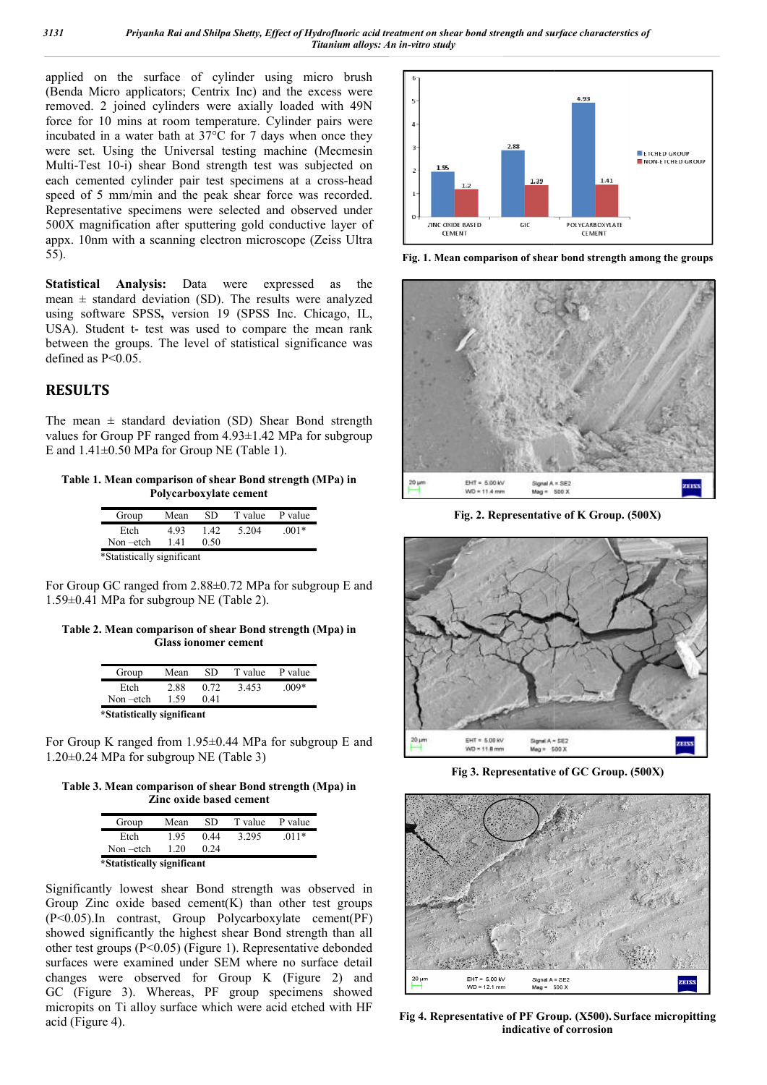applied on the surface of cylinder using micro brush (Benda Micro applicators; Centrix Inc) and the excess were removed. 2 joined cylinders were axially loaded with 49N force for 10 mins at room temperature. Cylinder pairs were incubated in a water bath at 37°C for 7 days when once they were set. Using the Universal testing machine (Mecmesin Multi-Test 10-i) shear Bond strength test was subjected on each cemented cylinder pair test specimens at a cross-head speed of 5 mm/min and the peak shear force was recorded. Representative specimens were selected and observed under 500X magnification after sputtering gold conductive layer of appx. 10nm with a scanning electron microscope (Zeiss Ultra 55). rs; Centrix Inc) and the excess were<br>nders were axially loaded with 49N<br>om temperature. Cylinder pairs were<br>th at 37°C for 7 days when once they<br>niversal testing machine (Mecmesin

**Statistical Analysis:** Data were expressed as the mean  $\pm$  standard deviation (SD). The results were analyzed using software SPSS**,** version 19 (SPSS Inc. Chicago, IL, USA). Student t- test was used to compare the mean rank between the groups. The level of statistical significance was defined as P<0.05. fication after sputtering gold con<br>with a scanning electron microse<br>Analysis: Data were express daread deviation (SD). The result:<br>are SPSS, version 19 (SPSS In<br>ent t- test was used to compare<br>groups. The level of statisti

## **RESULTS**

The mean  $\pm$  standard deviation (SD) Shear Bond strength values for Group PF ranged from 4.93±1.42 MPa for subgroup E and  $1.41\pm0.50$  MPa for Group NE (Table 1).

**Table 1. Mean comparison of shear Bond strength (MPa) in Polycarboxylate cement**

| Group                      | Mean | SD   | T value | P value |  |  |
|----------------------------|------|------|---------|---------|--|--|
| Etch                       | 493  | 142  | 5.204   | $.001*$ |  |  |
| $Non -etch$                | 141  | 0.50 |         |         |  |  |
| *Statistically significant |      |      |         |         |  |  |

For Group GC ranged from 2.88±0.72 MPa for subgroup E and 1.59±0.41 MPa for subgroup NE (Table 2).

**Table 2. Mean comparison of shear Bond strength (Mpa) in Glass ionomer cement**

| Group                      | Mean | SD   | T value | P value |  |  |
|----------------------------|------|------|---------|---------|--|--|
| Etch                       | 2.88 | 0.72 | 3.453   | $.009*$ |  |  |
| Non-etch                   | 1.59 | 0.41 |         |         |  |  |
| *Statistically significant |      |      |         |         |  |  |

For Group K ranged from 1.95±0.44 MPa for subgroup E and 1.20±0.24 MPa for subgroup NE (Table 3)

Table 3. Mean comparison of shear Bond strength (Mpa) in **Zinc oxide based cement**

| Group                      | Mean | SD   | T value | P value |  |  |
|----------------------------|------|------|---------|---------|--|--|
| Etch                       | 195  | 0.44 | 3.295   | $.011*$ |  |  |
| Non-etch                   | 1 20 | 0.24 |         |         |  |  |
| *Statistically significant |      |      |         |         |  |  |

Significantly lowest shear Bond strength was observed in Group Zinc oxide based cement $(K)$  than other test groups (P<0.05).In contrast, Group Polycarboxylate cement(PF) showed significantly the highest shear Bond strength than all other test groups (P<0.05) (Figure 1). Representative debonded surfaces were examined under SEM where no surface detail changes were observed for Group K (Figure 2) and GC (Figure 3). Whereas, PF group specimens showed micropits on Ti alloy surface which were acid etched with HF acid (Figure 4).



Fig. 1. Mean comparison of shear bond strength among the groups



**Fig. 2. Representative of K Group. (500X)**



**Fig 3. Representative of GC Group. (500X)**



**Fig 4. Representative of PF Group Group. (X500). Surface micropitting indicative of corrosion**